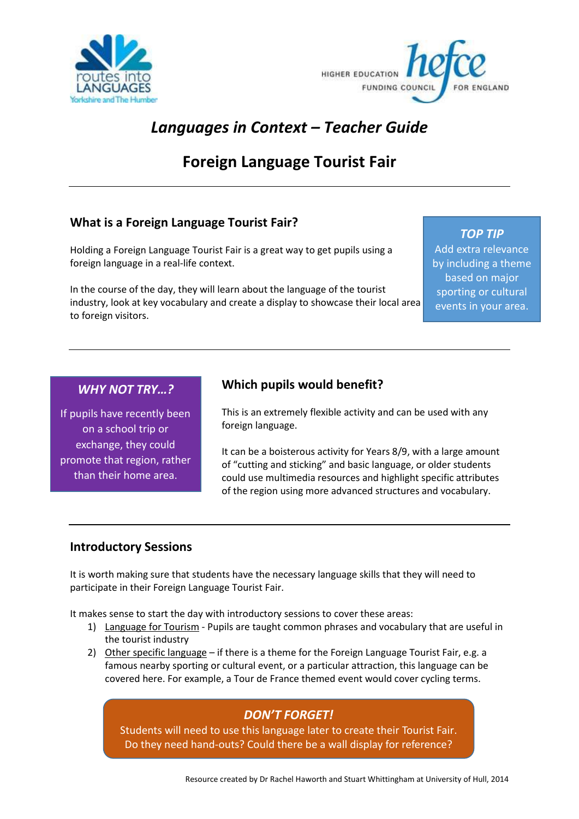



# *Languages in Context – Teacher Guide*

# **Foreign Language Tourist Fair**

## **What is a Foreign Language Tourist Fair?**

Holding a Foreign Language Tourist Fair is a great way to get pupils using a foreign language in a real-life context.

In the course of the day, they will learn about the language of the tourist industry, look at key vocabulary and create a display to showcase their local area to foreign visitors.

*TOP TIP* Add extra relevance by including a theme based on major sporting or cultural events in your area.

#### *WHY NOT TRY…?*

If pupils have recently been on a school trip or exchange, they could promote that region, rather than their home area.

### **Which pupils would benefit?**

This is an extremely flexible activity and can be used with any foreign language.

It can be a boisterous activity for Years 8/9, with a large amount of "cutting and sticking" and basic language, or older students could use multimedia resources and highlight specific attributes of the region using more advanced structures and vocabulary.

#### **Introductory Sessions**

It is worth making sure that students have the necessary language skills that they will need to participate in their Foreign Language Tourist Fair.

It makes sense to start the day with introductory sessions to cover these areas:

- 1) Language for Tourism Pupils are taught common phrases and vocabulary that are useful in the tourist industry
- 2) Other specific language if there is a theme for the Foreign Language Tourist Fair, e.g. a famous nearby sporting or cultural event, or a particular attraction, this language can be covered here. For example, a Tour de France themed event would cover cycling terms.

## *DON'T FORGET!*

Students will need to use this language later to create their Tourist Fair. Do they need hand-outs? Could there be a wall display for reference?